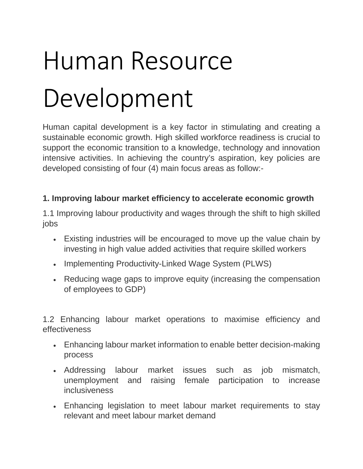# Human Resource Development

Human capital development is a key factor in stimulating and creating a sustainable economic growth. High skilled workforce readiness is crucial to support the economic transition to a knowledge, technology and innovation intensive activities. In achieving the country's aspiration, key policies are developed consisting of four (4) main focus areas as follow:-

#### **1. Improving labour market efficiency to accelerate economic growth**

1.1 Improving labour productivity and wages through the shift to high skilled jobs

- Existing industries will be encouraged to move up the value chain by investing in high value added activities that require skilled workers
- Implementing Productivity-Linked Wage System (PLWS)
- Reducing wage gaps to improve equity (increasing the compensation of employees to GDP)

1.2 Enhancing labour market operations to maximise efficiency and effectiveness

- Enhancing labour market information to enable better decision-making process
- Addressing labour market issues such as job mismatch, unemployment and raising female participation to increase inclusiveness
- Enhancing legislation to meet labour market requirements to stay relevant and meet labour market demand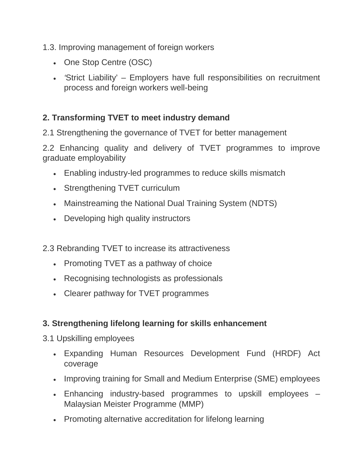- 1.3. Improving management of foreign workers
	- One Stop Centre (OSC)
	- *'*Strict Liability' Employers have full responsibilities on recruitment process and foreign workers well-being

## **2. Transforming TVET to meet industry demand**

2.1 Strengthening the governance of TVET for better management

2.2 Enhancing quality and delivery of TVET programmes to improve graduate employability

- Enabling industry-led programmes to reduce skills mismatch
- Strengthening TVET curriculum
- Mainstreaming the National Dual Training System (NDTS)
- Developing high quality instructors
- 2.3 Rebranding TVET to increase its attractiveness
	- Promoting TVET as a pathway of choice
	- Recognising technologists as professionals
	- Clearer pathway for TVET programmes

## **3. Strengthening lifelong learning for skills enhancement**

- 3.1 Upskilling employees
	- Expanding Human Resources Development Fund (HRDF) Act coverage
	- Improving training for Small and Medium Enterprise (SME) employees
	- Enhancing industry-based programmes to upskill employees Malaysian Meister Programme (MMP)
	- Promoting alternative accreditation for lifelong learning